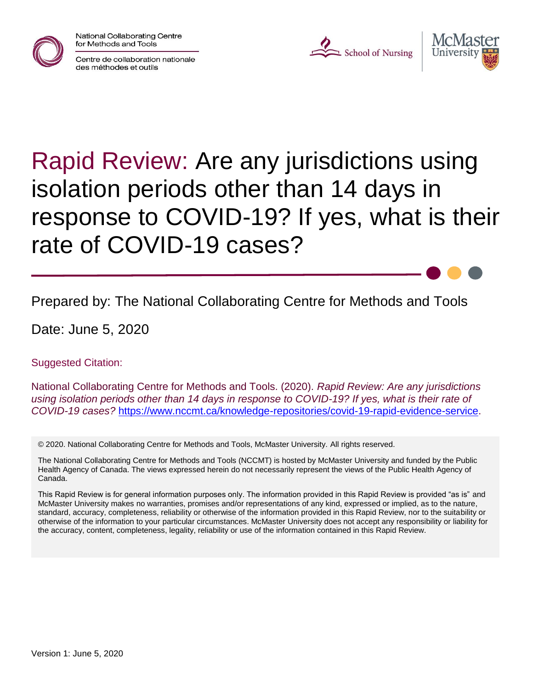

National Collaborating Centre for Methods and Tools







# Rapid Review: Are any jurisdictions using isolation periods other than 14 days in response to COVID-19? If yes, what is their rate of COVID-19 cases?

Prepared by: The National Collaborating Centre for Methods and Tools

Date: June 5, 2020

Suggested Citation:

National Collaborating Centre for Methods and Tools. (2020). *Rapid Review: Are any jurisdictions using isolation periods other than 14 days in response to COVID-19? If yes, what is their rate of COVID-19 cases?* [https://www.nccmt.ca/knowledge-repositories/covid-19-rapid-evidence-service.](https://www.nccmt.ca/knowledge-repositories/covid-19-rapid-evidence-service)

© 2020. National Collaborating Centre for Methods and Tools, McMaster University. All rights reserved.

The National Collaborating Centre for Methods and Tools (NCCMT) is hosted by McMaster University and funded by the Public Health Agency of Canada. The views expressed herein do not necessarily represent the views of the Public Health Agency of Canada.

This Rapid Review is for general information purposes only. The information provided in this Rapid Review is provided "as is" and McMaster University makes no warranties, promises and/or representations of any kind, expressed or implied, as to the nature, standard, accuracy, completeness, reliability or otherwise of the information provided in this Rapid Review, nor to the suitability or otherwise of the information to your particular circumstances. McMaster University does not accept any responsibility or liability for the accuracy, content, completeness, legality, reliability or use of the information contained in this Rapid Review.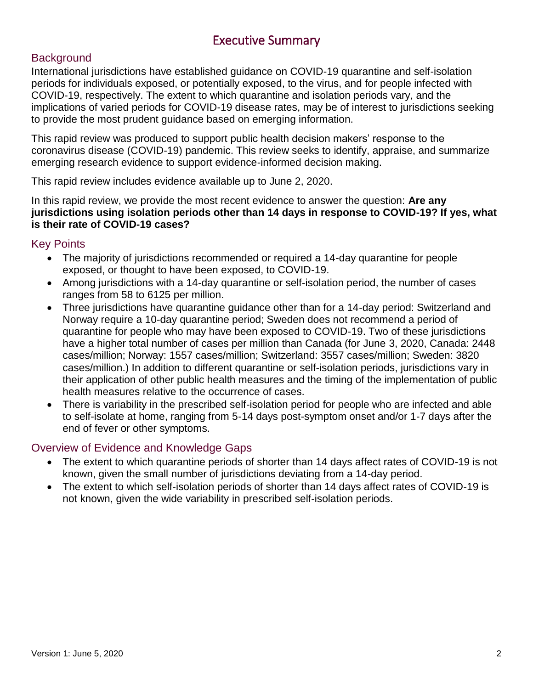### Executive Summary

#### **Background**

International jurisdictions have established guidance on COVID-19 quarantine and self-isolation periods for individuals exposed, or potentially exposed, to the virus, and for people infected with COVID-19, respectively. The extent to which quarantine and isolation periods vary, and the implications of varied periods for COVID-19 disease rates, may be of interest to jurisdictions seeking to provide the most prudent guidance based on emerging information.

This rapid review was produced to support public health decision makers' response to the coronavirus disease (COVID-19) pandemic. This review seeks to identify, appraise, and summarize emerging research evidence to support evidence-informed decision making.

This rapid review includes evidence available up to June 2, 2020.

In this rapid review, we provide the most recent evidence to answer the question: **Are any jurisdictions using isolation periods other than 14 days in response to COVID-19? If yes, what is their rate of COVID-19 cases?**

#### Key Points

- The majority of jurisdictions recommended or required a 14-day quarantine for people exposed, or thought to have been exposed, to COVID-19.
- Among jurisdictions with a 14-day quarantine or self-isolation period, the number of cases ranges from 58 to 6125 per million.
- Three jurisdictions have quarantine guidance other than for a 14-day period: Switzerland and Norway require a 10-day quarantine period; Sweden does not recommend a period of quarantine for people who may have been exposed to COVID-19. Two of these jurisdictions have a higher total number of cases per million than Canada (for June 3, 2020, Canada: 2448 cases/million; Norway: 1557 cases/million; Switzerland: 3557 cases/million; Sweden: 3820 cases/million.) In addition to different quarantine or self-isolation periods, jurisdictions vary in their application of other public health measures and the timing of the implementation of public health measures relative to the occurrence of cases.
- There is variability in the prescribed self-isolation period for people who are infected and able to self-isolate at home, ranging from 5-14 days post-symptom onset and/or 1-7 days after the end of fever or other symptoms.

#### Overview of Evidence and Knowledge Gaps

- The extent to which quarantine periods of shorter than 14 days affect rates of COVID-19 is not known, given the small number of jurisdictions deviating from a 14-day period.
- The extent to which self-isolation periods of shorter than 14 days affect rates of COVID-19 is not known, given the wide variability in prescribed self-isolation periods.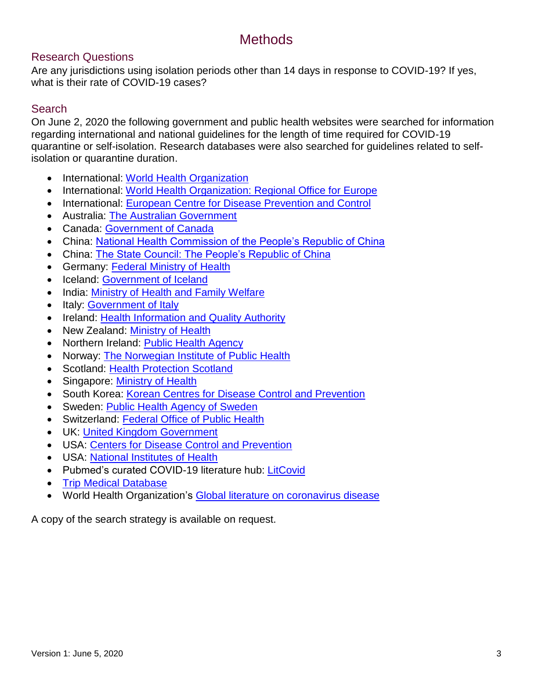## **Methods**

#### Research Questions

Are any jurisdictions using isolation periods other than 14 days in response to COVID-19? If yes, what is their rate of COVID-19 cases?

#### **Search**

On June 2, 2020 the following government and public health websites were searched for information regarding international and national guidelines for the length of time required for COVID-19 quarantine or self-isolation. Research databases were also searched for guidelines related to selfisolation or quarantine duration.

- International: [World Health Organization](https://www.who.int/)
- International: [World Health Organization: Regional Office for Europe](http://www.euro.who.int/en/home)
- International: [European Centre for Disease Prevention and Control](https://www.ecdc.europa.eu/)
- Australia: [The Australian Government](https://www.health.gov.au/)
- Canada: [Government of Canada](https://www.canada.ca/home.html)
- China: [National Health Commission of the People's Republic of China](http://en.nhc.gov.cn/)
- China: [The State Council: The People's Republic of China](http://www.gov.cn/)
- Germany: [Federal Ministry of Health](https://www.bundesgesundheitsministerium.de/en/en.html)
- Iceland: [Government of Iceland](https://www.government.is/)
- India: [Ministry of Health and Family Welfare](https://www.mohfw.gov.in/)
- Italy: [Government of Italy](http://www.salute.gov.it/portale/nuovocoronavirus/homeNuovoCoronavirus.jsp?lingua=english)
- Ireland: [Health Information and Quality Authority](https://www.hiqa.ie/)
- New Zealand: [Ministry of Health](https://www.health.govt.nz/)
- Northern Ireland: [Public Health Agency](https://www.publichealth.hscni.net/)
- Norway: [The Norwegian Institute of Public Health](https://www.fhi.no/en/)
- Scotland: [Health Protection Scotland](https://www.hps.scot.nhs.uk/)
- Singapore: [Ministry of Health](https://www.moh.gov.sg/)
- South Korea: [Korean Centres for Disease Control and Prevention](https://www.cdc.go.kr/cdc_eng/)
- Sweden: [Public Health Agency of Sweden](https://www.folkhalsomyndigheten.se/the-public-health-agency-of-sweden/)
- Switzerland: [Federal Office of Public Health](https://www.bag.admin.ch/bag/en/home.html)
- UK: [United Kingdom Government](https://www.gov.uk/)
- USA: [Centers for Disease Control and Prevention](https://www.cdc.gov/)
- USA: [National Institutes of Health](https://www.nih.gov/)
- Pubmed's curated COVID-19 literature hub: [LitCovid](https://res.nccmt.ca/2Tud6bf)
- [Trip Medical Database](https://res.nccmt.ca/2WWvsUK)
- World Health Organization's [Global literature on coronavirus disease](https://res.nccmt.ca/2ZpJCzf)

A copy of the search strategy is available on request.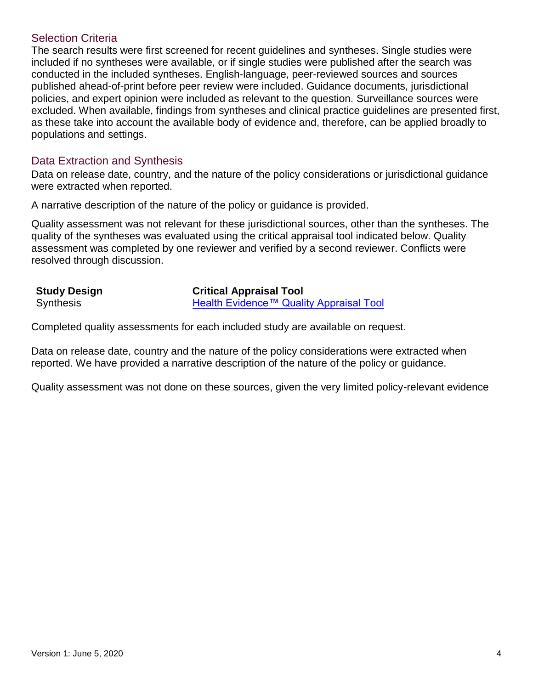#### Selection Criteria

The search results were first screened for recent guidelines and syntheses. Single studies were included if no syntheses were available, or if single studies were published after the search was conducted in the included syntheses. English-language, peer-reviewed sources and sources published ahead-of-print before peer review were included. Guidance documents, jurisdictional policies, and expert opinion were included as relevant to the question. Surveillance sources were excluded. When available, findings from syntheses and clinical practice guidelines are presented first, as these take into account the available body of evidence and, therefore, can be applied broadly to populations and settings.

#### Data Extraction and Synthesis

Data on release date, country, and the nature of the policy considerations or jurisdictional guidance were extracted when reported.

A narrative description of the nature of the policy or guidance is provided.

Quality assessment was not relevant for these jurisdictional sources, other than the syntheses. The quality of the syntheses was evaluated using the critical appraisal tool indicated below. Quality assessment was completed by one reviewer and verified by a second reviewer. Conflicts were resolved through discussion.

| <b>Study Design</b> | <b>Critical Appraisal Tool</b>          |  |  |
|---------------------|-----------------------------------------|--|--|
| <b>Synthesis</b>    | Health Evidence™ Quality Appraisal Tool |  |  |

Completed quality assessments for each included study are available on request.

Data on release date, country and the nature of the policy considerations were extracted when reported. We have provided a narrative description of the nature of the policy or guidance.

Quality assessment was not done on these sources, given the very limited policy-relevant evidence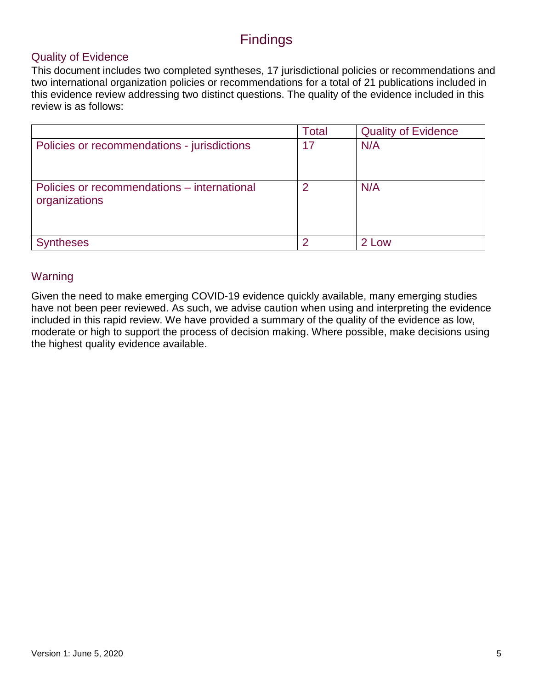## Findings

#### Quality of Evidence

This document includes two completed syntheses, 17 jurisdictional policies or recommendations and two international organization policies or recommendations for a total of 21 publications included in this evidence review addressing two distinct questions. The quality of the evidence included in this review is as follows:

|                                                              | <b>Total</b> | <b>Quality of Evidence</b> |
|--------------------------------------------------------------|--------------|----------------------------|
| Policies or recommendations - jurisdictions                  | 17           | N/A                        |
| Policies or recommendations – international<br>organizations | 2            | N/A                        |
| ntheses                                                      | ◠            | 2 Low                      |

#### Warning

Given the need to make emerging COVID-19 evidence quickly available, many emerging studies have not been peer reviewed. As such, we advise caution when using and interpreting the evidence included in this rapid review. We have provided a summary of the quality of the evidence as low, moderate or high to support the process of decision making. Where possible, make decisions using the highest quality evidence available.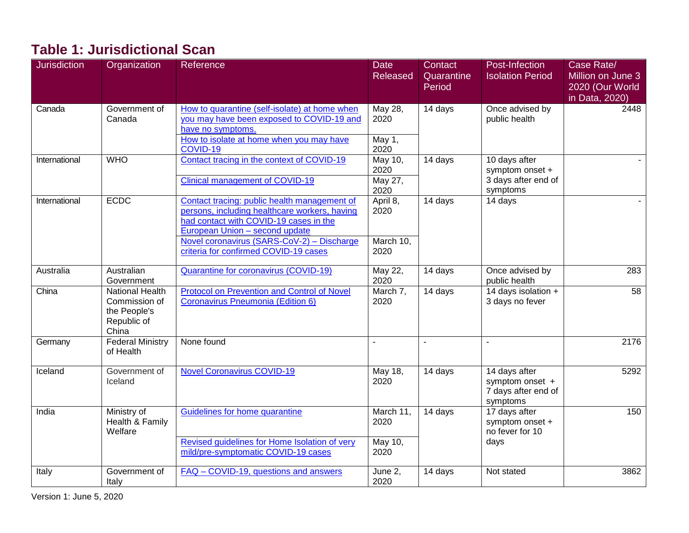## **Table 1: Jurisdictional Scan**

| <b>Jurisdiction</b> | Organization                                                                    | Reference                                                                                                                                                                        | <b>Date</b><br><b>Released</b> | Contact<br>Quarantine<br>Period | Post-Infection<br><b>Isolation Period</b>                           | Case Rate/<br>Million on June 3<br>2020 (Our World<br>in Data, 2020) |
|---------------------|---------------------------------------------------------------------------------|----------------------------------------------------------------------------------------------------------------------------------------------------------------------------------|--------------------------------|---------------------------------|---------------------------------------------------------------------|----------------------------------------------------------------------|
| Canada              | Government of<br>Canada                                                         | How to quarantine (self-isolate) at home when<br>you may have been exposed to COVID-19 and<br>have no symptoms.<br>How to isolate at home when you may have                      | May 28,<br>2020<br>May 1,      | 14 days                         | Once advised by<br>public health                                    | 2448                                                                 |
|                     |                                                                                 | COVID-19                                                                                                                                                                         | 2020                           |                                 |                                                                     |                                                                      |
| International       | <b>WHO</b>                                                                      | Contact tracing in the context of COVID-19                                                                                                                                       | May 10,<br>2020                | 14 days                         | 10 days after<br>symptom onset +                                    |                                                                      |
|                     |                                                                                 | <b>Clinical management of COVID-19</b>                                                                                                                                           | May 27,<br>2020                |                                 | 3 days after end of<br>symptoms                                     |                                                                      |
| International       | <b>ECDC</b>                                                                     | Contact tracing: public health management of<br>persons, including healthcare workers, having<br>had contact with COVID-19 cases in the<br><b>European Union - second update</b> | April 8,<br>2020               | 14 days                         | 14 days                                                             |                                                                      |
|                     |                                                                                 | Novel coronavirus (SARS-CoV-2) - Discharge<br>criteria for confirmed COVID-19 cases                                                                                              | March 10,<br>2020              |                                 |                                                                     |                                                                      |
| Australia           | Australian<br>Government                                                        | <b>Quarantine for coronavirus (COVID-19)</b>                                                                                                                                     | May 22,<br>2020                | 14 days                         | Once advised by<br>public health                                    | 283                                                                  |
| China               | <b>National Health</b><br>Commission of<br>the People's<br>Republic of<br>China | <b>Protocol on Prevention and Control of Novel</b><br>Coronavirus Pneumonia (Edition 6)                                                                                          | March 7,<br>2020               | 14 days                         | 14 days isolation +<br>3 days no fever                              | 58                                                                   |
| Germany             | <b>Federal Ministry</b><br>of Health                                            | None found                                                                                                                                                                       | $\sim$                         | $\sim$                          | $\blacksquare$                                                      | 2176                                                                 |
| Iceland             | Government of<br>Iceland                                                        | <b>Novel Coronavirus COVID-19</b>                                                                                                                                                | May 18,<br>2020                | 14 days                         | 14 days after<br>symptom onset +<br>7 days after end of<br>symptoms | 5292                                                                 |
| India               | Ministry of<br>Health & Family<br>Welfare                                       | Guidelines for home quarantine                                                                                                                                                   | March 11,<br>2020              | 14 days                         | 17 days after<br>symptom onset +<br>no fever for 10                 | 150                                                                  |
|                     |                                                                                 | Revised guidelines for Home Isolation of very<br>mild/pre-symptomatic COVID-19 cases                                                                                             | May 10,<br>2020                |                                 | days                                                                |                                                                      |
| Italy               | Government of<br>Italy                                                          | FAQ - COVID-19, questions and answers                                                                                                                                            | June 2,<br>2020                | 14 days                         | Not stated                                                          | 3862                                                                 |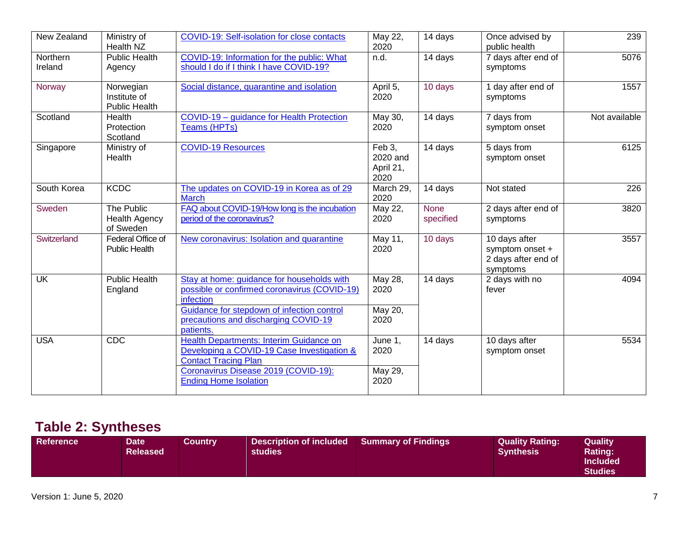| New Zealand         | Ministry of<br>Health NZ                          | <b>COVID-19: Self-isolation for close contacts</b>                                                                   | May 22,<br>2020                         | 14 days                  | Once advised by<br>public health                                    | 239           |
|---------------------|---------------------------------------------------|----------------------------------------------------------------------------------------------------------------------|-----------------------------------------|--------------------------|---------------------------------------------------------------------|---------------|
| Northern<br>Ireland | <b>Public Health</b><br>Agency                    | COVID-19: Information for the public: What<br>should I do if I think I have COVID-19?                                | n.d.                                    | 14 days                  | 7 days after end of<br>symptoms                                     | 5076          |
| Norway              | Norwegian<br>Institute of<br><b>Public Health</b> | Social distance, quarantine and isolation                                                                            | April 5,<br>2020                        | 10 days                  | 1 day after end of<br>symptoms                                      | 1557          |
| Scotland            | Health<br>Protection<br>Scotland                  | COVID-19 - guidance for Health Protection<br>Teams (HPTs)                                                            | May 30,<br>2020                         | 14 days                  | 7 days from<br>symptom onset                                        | Not available |
| Singapore           | Ministry of<br>Health                             | <b>COVID-19 Resources</b>                                                                                            | Feb 3,<br>2020 and<br>April 21,<br>2020 | 14 days                  | 5 days from<br>symptom onset                                        | 6125          |
| South Korea         | <b>KCDC</b>                                       | The updates on COVID-19 in Korea as of 29<br><b>March</b>                                                            | March 29,<br>2020                       | 14 days                  | Not stated                                                          | 226           |
| Sweden              | The Public<br>Health Agency<br>of Sweden          | FAQ about COVID-19/How long is the incubation<br>period of the coronavirus?                                          | May 22,<br>2020                         | <b>None</b><br>specified | 2 days after end of<br>symptoms                                     | 3820          |
| Switzerland         | Federal Office of<br><b>Public Health</b>         | New coronavirus: Isolation and quarantine                                                                            | May 11,<br>2020                         | 10 days                  | 10 days after<br>symptom onset +<br>2 days after end of<br>symptoms | 3557          |
| <b>UK</b>           | <b>Public Health</b><br>England                   | Stay at home: guidance for households with<br>possible or confirmed coronavirus (COVID-19)<br>infection              | May 28,<br>2020                         | 14 days                  | 2 days with no<br>fever                                             | 4094          |
|                     |                                                   | Guidance for stepdown of infection control<br>precautions and discharging COVID-19<br>patients.                      | May 20,<br>2020                         |                          |                                                                     |               |
| <b>USA</b>          | CDC                                               | Health Departments: Interim Guidance on<br>Developing a COVID-19 Case Investigation &<br><b>Contact Tracing Plan</b> | June 1,<br>2020                         | 14 days                  | 10 days after<br>symptom onset                                      | 5534          |
|                     |                                                   | Coronavirus Disease 2019 (COVID-19):<br><b>Ending Home Isolation</b>                                                 | May 29,<br>2020                         |                          |                                                                     |               |

## **Table 2: Syntheses**

| Reference <sup>1</sup><br>Description of included<br><b>Quality Rating:</b><br><b>Quality</b><br><b>Summary of Findings</b><br>Country<br><b>Date</b><br><b>Released</b><br><b>Rating:</b><br><b>Synthesis</b><br><b>studies</b><br><b>Included</b><br><b>Studies</b> |  |
|-----------------------------------------------------------------------------------------------------------------------------------------------------------------------------------------------------------------------------------------------------------------------|--|
|-----------------------------------------------------------------------------------------------------------------------------------------------------------------------------------------------------------------------------------------------------------------------|--|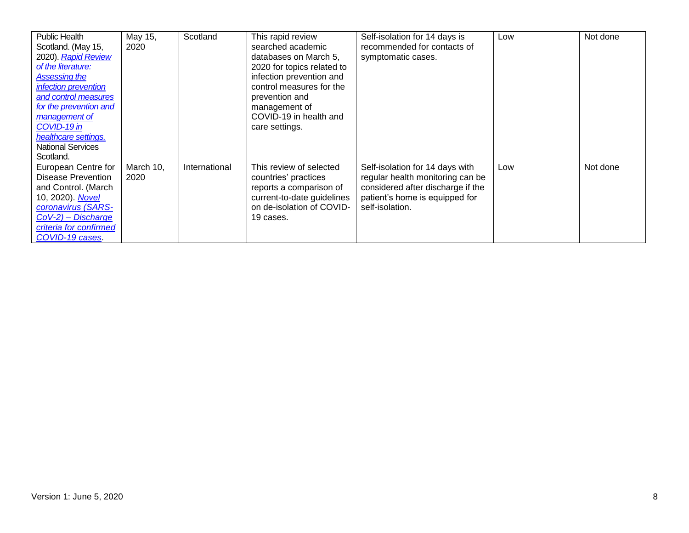| <b>Public Health</b><br>Scotland. (May 15,<br>2020). Rapid Review<br>of the literature:<br><b>Assessing the</b><br><i>infection prevention</i><br>and control measures<br>for the prevention and<br>management of<br>COVID-19 in<br>healthcare settings.<br><b>National Services</b><br>Scotland. | May 15,<br>2020   | Scotland      | This rapid review<br>searched academic<br>databases on March 5,<br>2020 for topics related to<br>infection prevention and<br>control measures for the<br>prevention and<br>management of<br>COVID-19 in health and<br>care settings. | Self-isolation for 14 days is<br>recommended for contacts of<br>symptomatic cases.                                                                            | Low | Not done |
|---------------------------------------------------------------------------------------------------------------------------------------------------------------------------------------------------------------------------------------------------------------------------------------------------|-------------------|---------------|--------------------------------------------------------------------------------------------------------------------------------------------------------------------------------------------------------------------------------------|---------------------------------------------------------------------------------------------------------------------------------------------------------------|-----|----------|
| European Centre for<br><b>Disease Prevention</b><br>and Control. (March<br>10, 2020). Novel<br>coronavirus (SARS-<br>$CoV-2$ ) – Discharge<br>criteria for confirmed<br>COVID-19 cases.                                                                                                           | March 10,<br>2020 | International | This review of selected<br>countries' practices<br>reports a comparison of<br>current-to-date guidelines<br>on de-isolation of COVID-<br>19 cases.                                                                                   | Self-isolation for 14 days with<br>regular health monitoring can be<br>considered after discharge if the<br>patient's home is equipped for<br>self-isolation. | Low | Not done |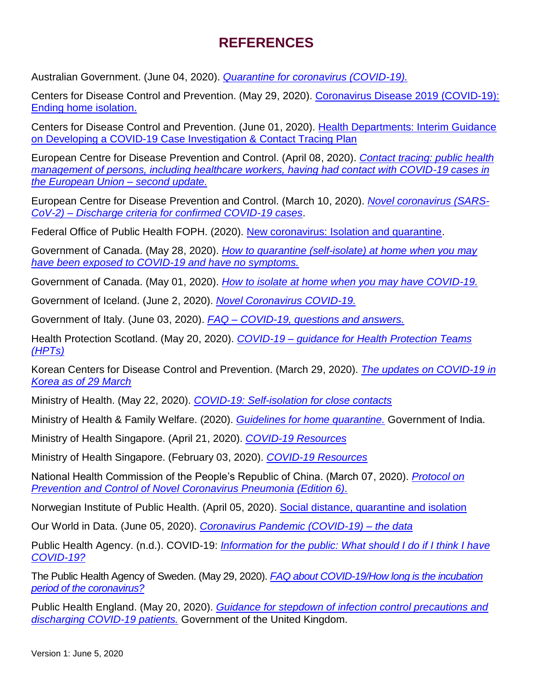## **REFERENCES**

Australian Government. (June 04, 2020). *[Quarantine for coronavirus \(COVID-19\).](https://www.health.gov.au/news/health-alerts/novel-coronavirus-2019-ncov-health-alert/how-to-protect-yourself-and-others-from-coronavirus-covid-19/quarantine-for-coronavirus-covid-19)*

Centers for Disease Control and Prevention. (May 29, 2020). [Coronavirus Disease 2019](https://www.cdc.gov/coronavirus/2019-ncov/hcp/disposition-in-home-patients.html?CDC_AA_refVal=https%3A%2F%2Fwww.cdc.gov%2Fcoronavirus%2F2019-ncov%2Fhcp%2Fending-isolation.html) (COVID-19): [Ending home isolation.](https://www.cdc.gov/coronavirus/2019-ncov/hcp/disposition-in-home-patients.html?CDC_AA_refVal=https%3A%2F%2Fwww.cdc.gov%2Fcoronavirus%2F2019-ncov%2Fhcp%2Fending-isolation.html)

Centers for Disease Control and Prevention. (June 01, 2020). [Health Departments: Interim Guidance](https://www.cdc.gov/coronavirus/2019-ncov/downloads/case-investigation-contact-tracing.pdf)  on Developing a [COVID-19 Case Investigation & Contact Tracing Plan](https://www.cdc.gov/coronavirus/2019-ncov/downloads/case-investigation-contact-tracing.pdf)

European Centre for Disease Prevention and Control. (April 08, 2020). *[Contact tracing: public health](https://www.ecdc.europa.eu/sites/default/files/documents/Contact-tracing-Public-health-management-persons-including-healthcare-workers-having-had-contact-with-COVID-19-cases-in-the-European-Union%E2%80%93second-update_0.pdf)  [management of persons, including healthcare workers, having had contact with COVID-19 cases in](https://www.ecdc.europa.eu/sites/default/files/documents/Contact-tracing-Public-health-management-persons-including-healthcare-workers-having-had-contact-with-COVID-19-cases-in-the-European-Union%E2%80%93second-update_0.pdf)  [the European Union –](https://www.ecdc.europa.eu/sites/default/files/documents/Contact-tracing-Public-health-management-persons-including-healthcare-workers-having-had-contact-with-COVID-19-cases-in-the-European-Union%E2%80%93second-update_0.pdf) second update.*

European Centre for Disease Prevention and Control. (March 10, 2020). *[Novel coronavirus \(SARS-](https://www.ecdc.europa.eu/en/publications-data/novel-coronavirus-sars-cov-2-discharge-criteria-confirmed-covid-19-cases)CoV-2) – [Discharge criteria for confirmed COVID-19 cases](https://www.ecdc.europa.eu/en/publications-data/novel-coronavirus-sars-cov-2-discharge-criteria-confirmed-covid-19-cases)*.

Federal Office of Public Health FOPH. (2020). [New coronavirus: Isolation and quarantine.](https://www.bag.admin.ch/bag/en/home/krankheiten/ausbrueche-epidemien-pandemien/aktuelle-ausbrueche-epidemien/novel-cov/selbst-isolierung-und-selbst-quarantaene.html)

Government of Canada. (May 28, 2020). *[How to quarantine \(self-isolate\) at home when you may](https://www.canada.ca/en/public-health/services/publications/diseases-conditions/coronavirus-disease-covid-19-how-to-self-isolate-home-exposed-no-symptoms.html)  [have been exposed to COVID-19 and have no symptoms.](https://www.canada.ca/en/public-health/services/publications/diseases-conditions/coronavirus-disease-covid-19-how-to-self-isolate-home-exposed-no-symptoms.html)*

Government of Canada. (May 01, 2020). *[How to isolate at home when you may have COVID-19.](https://www.canada.ca/en/public-health/services/publications/diseases-conditions/covid-19-how-to-isolate-at-home.html)*

Government of Iceland. (June 2, 2020). *[Novel Coronavirus COVID-19.](https://www.landlaeknir.is/koronaveira/english/)*

Government of Italy. (June 03, 2020). *FAQ – [COVID-19, questions and answers.](http://www.salute.gov.it/portale/nuovocoronavirus/dettaglioFaqNuovoCoronavirus.jsp?lingua=english&id=230#11)* 

Health Protection Scotland. (May 20, 2020). *COVID-19 – [guidance for Health Protection Teams](https://www.hps.scot.nhs.uk/web-resources-container/covid-19-guidance-for-health-protection-teams-hpts/)  [\(HPTs\)](https://www.hps.scot.nhs.uk/web-resources-container/covid-19-guidance-for-health-protection-teams-hpts/)*

Korean Centers for Disease Control and Prevention. (March 29, 2020). *[The updates on COVID-19 in](https://www.cdc.go.kr/board/board.es?mid=&bid=0030&tag=&act=view&list_no=366678)  [Korea as of 29 March](https://www.cdc.go.kr/board/board.es?mid=&bid=0030&tag=&act=view&list_no=366678)*

Ministry of Health. (May 22, 2020). *[COVID-19: Self-isolation for close contacts](https://www.health.govt.nz/our-work/diseases-and-conditions/covid-19-novel-coronavirus/covid-19-health-advice-general-public/covid-19-self-isolation-close-contacts)*

Ministry of Health & Family Welfare. (2020). *[Guidelines for home quarantine.](https://www.mohfw.gov.in/pdf/Guidelinesforhomequarantine.pdf)* Government of India.

Ministry of Health Singapore. (April 21, 2020). *[COVID-19 Resources](https://www.moh.gov.sg/covid-19/resources)*

Ministry of Health Singapore. (February 03, 2020). *[COVID-19 Resources](https://www.moh.gov.sg/covid-19/resources)*

National Health Commission of the People's Republic of China. (March 07, 2020). *[Protocol on](https://www.chinadaily.com.cn/pdf/2020/2.COVID-19.Prevention.and.Control.Protocol.V6.pdf)  [Prevention and Control of Novel Coronavirus Pneumonia \(Edition 6\).](https://www.chinadaily.com.cn/pdf/2020/2.COVID-19.Prevention.and.Control.Protocol.V6.pdf)*

Norwegian Institute of Public Health. (April 05, 2020). [Social distance, quarantine and isolation](https://www.fhi.no/en/op/novel-coronavirus-facts-advice/facts-and-general-advice/social-distance-quarantine-and-isolation/?term=&h=1)

Our World in Data. (June 05, 2020). *[Coronavirus Pandemic \(COVID-19\) –](https://ourworldindata.org/coronavirus-data) the data*

Public Health Agency. (n.d.). COVID-19: *[Information for the public: What should I do if I think I have](https://www.publichealth.hscni.net/covid-19-coronavirus/covid-19-information-public#what-should-i-do-if-i-think-i-have-covid-19)  [COVID-19?](https://www.publichealth.hscni.net/covid-19-coronavirus/covid-19-information-public#what-should-i-do-if-i-think-i-have-covid-19)*

The Public Health Agency of Sweden. (May 29, 2020). *[FAQ about COVID-19/How long is the incubation](https://www.folkhalsomyndigheten.se/the-public-health-agency-of-sweden/communicable-disease-control/covid-19/)  [period of the coronavirus?](https://www.folkhalsomyndigheten.se/the-public-health-agency-of-sweden/communicable-disease-control/covid-19/)*

Public Health England. (May 20, 2020). *[Guidance for stepdown of infection control precautions and](https://www.gov.uk/government/publications/covid-19-guidance-for-stepdown-of-infection-control-precautions-within-hospitals-and-discharging-covid-19-patients-from-hospital-to-home-settings/guidance-for-stepdown-of-infection-control-precautions-and-discharging-covid-19-patients#discharge-of-patients-to-own-home)  [discharging COVID-19 patients.](https://www.gov.uk/government/publications/covid-19-guidance-for-stepdown-of-infection-control-precautions-within-hospitals-and-discharging-covid-19-patients-from-hospital-to-home-settings/guidance-for-stepdown-of-infection-control-precautions-and-discharging-covid-19-patients#discharge-of-patients-to-own-home)* Government of the United Kingdom.